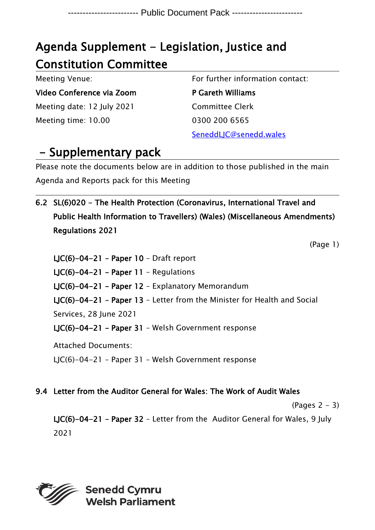# Agenda Supplement - Legislation, Justice and Constitution Committee

Meeting Venue:

Video Conference via Zoom Meeting date: 12 July 2021 Meeting time: 10.00

For further information contact:

P Gareth Williams Committee Clerk 0300 200 6565 SeneddLJC@senedd.wales

## - Supplementary pack

Please note the documents below are in addition to those published in the main Agenda and Reports pack for this Meeting

6.2 SL(6)020 - The Health Protection (Coronavirus, International Travel and Public Health Information to Travellers) (Wales) (Miscellaneous Amendments) Regulations 2021

(Page 1)

LJC(6)-04-21 – Paper 10 – Draft report LJC(6)-04-21 – Paper 11 – Regulations LJC(6)-04-21 – Paper 12 – Explanatory Memorandum LJC(6)-04-21 – Paper 13 – Letter from the Minister for Health and Social Services, 28 June 2021 LJC(6)-04-21 – Paper 31 – Welsh Government response Attached Documents: LJC(6)-04-21 – Paper 31 – Welsh Government response

9.4 Letter from the Auditor General for Wales: The Work of Audit Wales

 $(Paqes 2 - 3)$ 

LJC(6)-04-21 – Paper 32 – Letter from the Auditor General for Wales, 9 July 2021

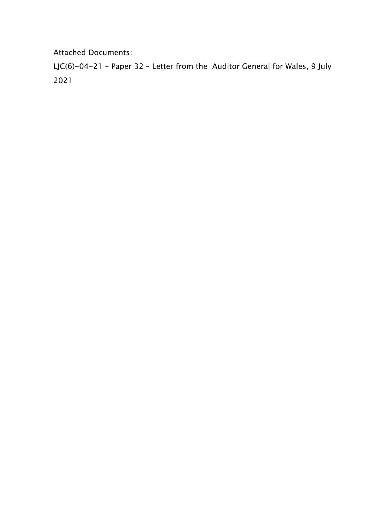Attached Documents:

LJC(6)-04-21 – Paper 32 – Letter from the Auditor General for Wales, 9 July 2021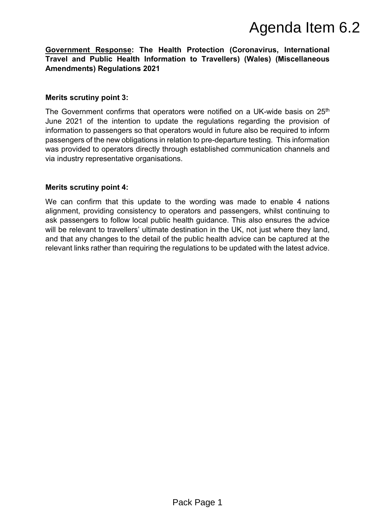### **Government Response: The Health Protection (Coronavirus, International Travel and Public Health Information to Travellers) (Wales) (Miscellaneous Amendments) Regulations 2021**

### **Merits scrutiny point 3:**

The Government confirms that operators were notified on a UK-wide basis on 25<sup>th</sup> June 2021 of the intention to update the regulations regarding the provision of information to passengers so that operators would in future also be required to inform passengers of the new obligations in relation to pre-departure testing. This information was provided to operators directly through established communication channels and via industry representative organisations. **Agenda Item 6.2**<br>the Protection (Coronavirus, International<br>tion to Travellers) (Wales) (Miscellaneous<br>tors were notified on a UK-wide basis on  $25^n$ <br>te the regulations regarding the provision of<br>tators would in future a

### **Merits scrutiny point 4:**

We can confirm that this update to the wording was made to enable 4 nations alignment, providing consistency to operators and passengers, whilst continuing to ask passengers to follow local public health guidance. This also ensures the advice will be relevant to travellers' ultimate destination in the UK, not just where they land, and that any changes to the detail of the public health advice can be captured at the relevant links rather than requiring the regulations to be updated with the latest advice.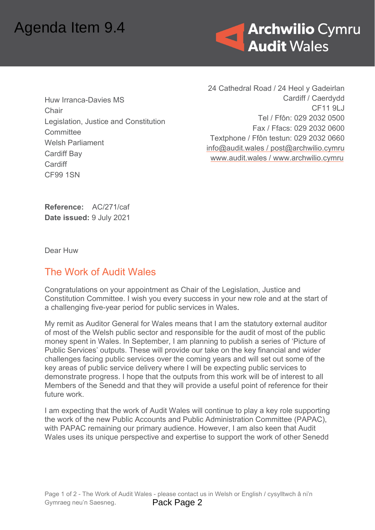

Huw Irranca-Davies MS **Chair** Legislation, Justice and Constitution **Committee** Welsh Parliament Cardiff Bay **Cardiff** CF99 1SN

24 Cathedral Road / 24 Heol y Gadeirlan Cardiff / Caerdydd CF11 9LJ Tel / Ffôn: 029 2032 0500 Fax / Ffacs: 029 2032 0600 Textphone / Ffôn testun: 029 2032 0660 [info@audit.wales](mailto:info@audit.wales) / post@archwilio.cymru [www.audit.wales](http://www.audit.wales/) / [www.archwilio.cymru](http://www.archwilio.cymru/)

**Reference:** AC/271/caf **Date issued:** 9 July 2021

Dear Huw

## The Work of Audit Wales

Congratulations on your appointment as Chair of the Legislation, Justice and Constitution Committee. I wish you every success in your new role and at the start of a challenging five-year period for public services in Wales.

My remit as Auditor General for Wales means that I am the statutory external auditor of most of the Welsh public sector and responsible for the audit of most of the public money spent in Wales. In September, I am planning to publish a series of 'Picture of Public Services' outputs. These will provide our take on the key financial and wider challenges facing public services over the coming years and will set out some of the key areas of public service delivery where I will be expecting public services to demonstrate progress. I hope that the outputs from this work will be of interest to all Members of the Senedd and that they will provide a useful point of reference for their future work. **Agenda Item 9.4**<br>
Huw Irranca-Davies MS<br>
Chair<br>
Legislation, Justice and Constitution<br>
Committee<br>
Welsh Parliament<br>
Cardiff Bay<br>
Cardiff Bay<br>
Cardiff Bay<br>
Cardiff Bay<br>
Cardiff<br>
Care issued: 9 July 2021<br>
Dear Huw<br>
The Work

I am expecting that the work of Audit Wales will continue to play a key role supporting the work of the new Public Accounts and Public Administration Committee (PAPAC), with PAPAC remaining our primary audience. However, I am also keen that Audit Wales uses its unique perspective and expertise to support the work of other Senedd